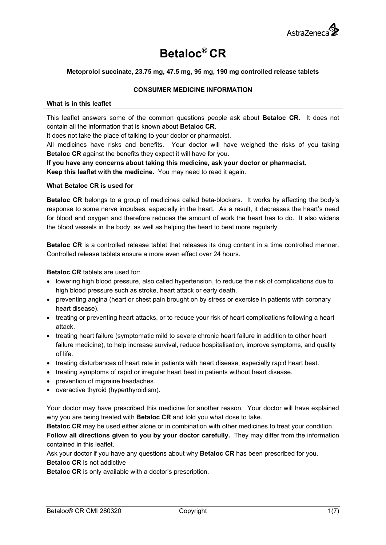

# **Betaloc® CR**

# **Metoprolol succinate, 23.75 mg, 47.5 mg, 95 mg, 190 mg controlled release tablets**

# **CONSUMER MEDICINE INFORMATION**

## **What is in this leaflet**

This leaflet answers some of the common questions people ask about **Betaloc CR**. It does not contain all the information that is known about **Betaloc CR**.

It does not take the place of talking to your doctor or pharmacist.

All medicines have risks and benefits. Your doctor will have weighed the risks of you taking **Betaloc CR** against the benefits they expect it will have for you.

**If you have any concerns about taking this medicine, ask your doctor or pharmacist. Keep this leaflet with the medicine.** You may need to read it again.

## **What Betaloc CR is used for**

**Betaloc CR** belongs to a group of medicines called beta-blockers. It works by affecting the body's response to some nerve impulses, especially in the heart. As a result, it decreases the heart's need for blood and oxygen and therefore reduces the amount of work the heart has to do. It also widens the blood vessels in the body, as well as helping the heart to beat more regularly.

**Betaloc CR** is a controlled release tablet that releases its drug content in a time controlled manner. Controlled release tablets ensure a more even effect over 24 hours.

**Betaloc CR** tablets are used for:

- lowering high blood pressure, also called hypertension, to reduce the risk of complications due to high blood pressure such as stroke, heart attack or early death.
- preventing angina (heart or chest pain brought on by stress or exercise in patients with coronary heart disease).
- treating or preventing heart attacks, or to reduce your risk of heart complications following a heart attack.
- treating heart failure (symptomatic mild to severe chronic heart failure in addition to other heart failure medicine), to help increase survival, reduce hospitalisation, improve symptoms, and quality of life.
- treating disturbances of heart rate in patients with heart disease, especially rapid heart beat.
- treating symptoms of rapid or irregular heart beat in patients without heart disease.
- prevention of migraine headaches.
- overactive thyroid (hyperthyroidism).

Your doctor may have prescribed this medicine for another reason. Your doctor will have explained why you are being treated with **Betaloc CR** and told you what dose to take.

**Betaloc CR** may be used either alone or in combination with other medicines to treat your condition.

**Follow all directions given to you by your doctor carefully.** They may differ from the information contained in this leaflet.

Ask your doctor if you have any questions about why **Betaloc CR** has been prescribed for you.

**Betaloc CR** is not addictive

**Betaloc CR** is only available with a doctor's prescription.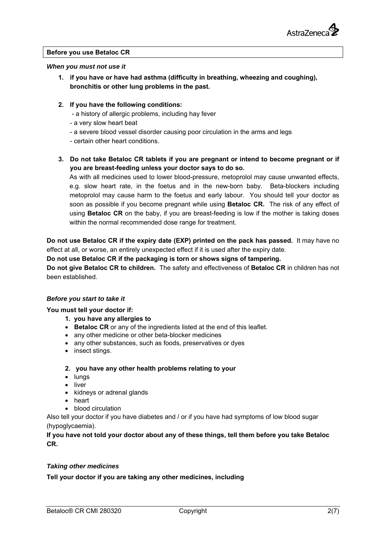

## **Before you use Betaloc CR**

## *When you must not use it*

- **1. if you have or have had asthma (difficulty in breathing, wheezing and coughing), bronchitis or other lung problems in the past.**
- **2. If you have the following conditions:** 
	- a history of allergic problems, including hay fever
	- a very slow heart beat
	- a severe blood vessel disorder causing poor circulation in the arms and legs
	- certain other heart conditions.
- **3. Do not take Betaloc CR tablets if you are pregnant or intend to become pregnant or if you are breast-feeding unless your doctor says to do so.**

As with all medicines used to lower blood-pressure, metoprolol may cause unwanted effects, e.g. slow heart rate, in the foetus and in the new-born baby. Beta-blockers including metoprolol may cause harm to the foetus and early labour. You should tell your doctor as soon as possible if you become pregnant while using **Betaloc CR.** The risk of any effect of using **Betaloc CR** on the baby, if you are breast-feeding is low if the mother is taking doses within the normal recommended dose range for treatment.

**Do not use Betaloc CR if the expiry date (EXP) printed on the pack has passed.** It may have no effect at all, or worse, an entirely unexpected effect if it is used after the expiry date.

## **Do not use Betaloc CR if the packaging is torn or shows signs of tampering.**

**Do not give Betaloc CR to children.** The safety and effectiveness of **Betaloc CR** in children has not been established.

## *Before you start to take it*

## **You must tell your doctor if:**

- **1. you have any allergies to**
- **Betaloc CR** or any of the ingredients listed at the end of this leaflet.
- any other medicine or other beta-blocker medicines
- any other substances, such as foods, preservatives or dyes
- insect stings.

## **2. you have any other health problems relating to your**

- lungs
- liver
- kidneys or adrenal glands
- heart
- blood circulation

Also tell your doctor if you have diabetes and / or if you have had symptoms of low blood sugar (hypoglycaemia).

**If you have not told your doctor about any of these things, tell them before you take Betaloc CR.** 

## *Taking other medicines*

**Tell your doctor if you are taking any other medicines, including**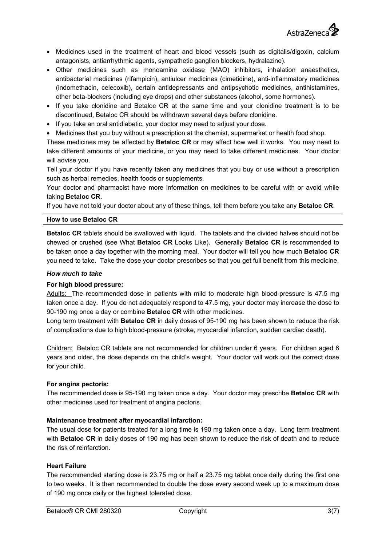

- Medicines used in the treatment of heart and blood vessels (such as digitalis/digoxin, calcium antagonists, antiarrhythmic agents, sympathetic ganglion blockers, hydralazine).
- Other medicines such as monoamine oxidase (MAO) inhibitors, inhalation anaesthetics, antibacterial medicines (rifampicin), antiulcer medicines (cimetidine), anti-inflammatory medicines (indomethacin, celecoxib), certain antidepressants and antipsychotic medicines, antihistamines, other beta-blockers (including eye drops) and other substances (alcohol, some hormones).
- If you take clonidine and Betaloc CR at the same time and your clonidine treatment is to be discontinued, Betaloc CR should be withdrawn several days before clonidine.
- If you take an oral antidiabetic, your doctor may need to adjust your dose.
- Medicines that you buy without a prescription at the chemist, supermarket or health food shop.

These medicines may be affected by **Betaloc CR** or may affect how well it works. You may need to take different amounts of your medicine, or you may need to take different medicines. Your doctor will advise you.

Tell your doctor if you have recently taken any medicines that you buy or use without a prescription such as herbal remedies, health foods or supplements.

Your doctor and pharmacist have more information on medicines to be careful with or avoid while taking **Betaloc CR**.

If you have not told your doctor about any of these things, tell them before you take any **Betaloc CR**.

## **How to use Betaloc CR**

**Betaloc CR** tablets should be swallowed with liquid. The tablets and the divided halves should not be chewed or crushed (see What **Betaloc CR** Looks Like). Generally **Betaloc CR** is recommended to be taken once a day together with the morning meal. Your doctor will tell you how much **Betaloc CR** you need to take. Take the dose your doctor prescribes so that you get full benefit from this medicine.

## *How much to take*

# **For high blood pressure:**

Adults: The recommended dose in patients with mild to moderate high blood-pressure is 47.5 mg taken once a day. If you do not adequately respond to 47.5 mg, your doctor may increase the dose to 90-190 mg once a day or combine **Betaloc CR** with other medicines.

Long term treatment with **Betaloc CR** in daily doses of 95-190 mg has been shown to reduce the risk of complications due to high blood-pressure (stroke, myocardial infarction, sudden cardiac death).

Children: Betaloc CR tablets are not recommended for children under 6 years. For children aged 6 years and older, the dose depends on the child's weight. Your doctor will work out the correct dose for your child.

## **For angina pectoris:**

The recommended dose is 95-190 mg taken once a day. Your doctor may prescribe **Betaloc CR** with other medicines used for treatment of angina pectoris.

# **Maintenance treatment after myocardial infarction:**

The usual dose for patients treated for a long time is 190 mg taken once a day. Long term treatment with **Betaloc CR** in daily doses of 190 mg has been shown to reduce the risk of death and to reduce the risk of reinfarction.

# **Heart Failure**

The recommended starting dose is 23.75 mg or half a 23.75 mg tablet once daily during the first one to two weeks. It is then recommended to double the dose every second week up to a maximum dose of 190 mg once daily or the highest tolerated dose.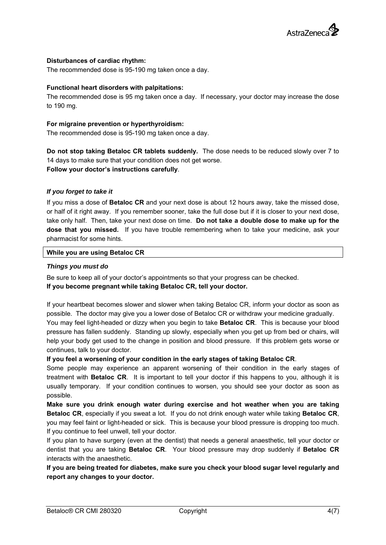

## **Disturbances of cardiac rhythm:**

The recommended dose is 95-190 mg taken once a day.

## **Functional heart disorders with palpitations:**

The recommended dose is 95 mg taken once a day. If necessary, your doctor may increase the dose to 190 mg.

## **For migraine prevention or hyperthyroidism:**

The recommended dose is 95-190 mg taken once a day.

**Do not stop taking Betaloc CR tablets suddenly.** The dose needs to be reduced slowly over 7 to 14 days to make sure that your condition does not get worse. **Follow your doctor's instructions carefully**.

## *If you forget to take it*

If you miss a dose of **Betaloc CR** and your next dose is about 12 hours away, take the missed dose, or half of it right away. If you remember sooner, take the full dose but if it is closer to your next dose, take only half. Then, take your next dose on time. **Do not take a double dose to make up for the dose that you missed.** If you have trouble remembering when to take your medicine, ask your pharmacist for some hints.

## **While you are using Betaloc CR**

## *Things you must do*

Be sure to keep all of your doctor's appointments so that your progress can be checked. **If you become pregnant while taking Betaloc CR, tell your doctor.** 

If your heartbeat becomes slower and slower when taking Betaloc CR, inform your doctor as soon as possible. The doctor may give you a lower dose of Betaloc CR or withdraw your medicine gradually. You may feel light-headed or dizzy when you begin to take **Betaloc CR**. This is because your blood pressure has fallen suddenly. Standing up slowly, especially when you get up from bed or chairs, will help your body get used to the change in position and blood pressure. If this problem gets worse or continues, talk to your doctor.

**If you feel a worsening of your condition in the early stages of taking Betaloc CR**.

Some people may experience an apparent worsening of their condition in the early stages of treatment with **Betaloc CR**. It is important to tell your doctor if this happens to you, although it is usually temporary. If your condition continues to worsen, you should see your doctor as soon as possible.

**Make sure you drink enough water during exercise and hot weather when you are taking Betaloc CR**, especially if you sweat a lot. If you do not drink enough water while taking **Betaloc CR**, you may feel faint or light-headed or sick. This is because your blood pressure is dropping too much. If you continue to feel unwell, tell your doctor.

If you plan to have surgery (even at the dentist) that needs a general anaesthetic, tell your doctor or dentist that you are taking **Betaloc CR**. Your blood pressure may drop suddenly if **Betaloc CR** interacts with the anaesthetic.

**If you are being treated for diabetes, make sure you check your blood sugar level regularly and report any changes to your doctor.**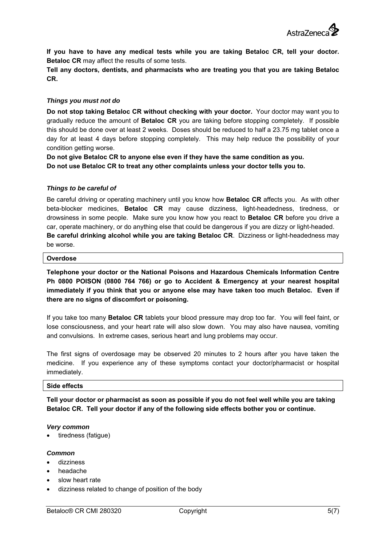**If you have to have any medical tests while you are taking Betaloc CR, tell your doctor. Betaloc CR** may affect the results of some tests.

**Tell any doctors, dentists, and pharmacists who are treating you that you are taking Betaloc CR.** 

## *Things you must not do*

**Do not stop taking Betaloc CR without checking with your doctor.** Your doctor may want you to gradually reduce the amount of **Betaloc CR** you are taking before stopping completely. If possible this should be done over at least 2 weeks. Doses should be reduced to half a 23.75 mg tablet once a day for at least 4 days before stopping completely. This may help reduce the possibility of your condition getting worse.

**Do not give Betaloc CR to anyone else even if they have the same condition as you. Do not use Betaloc CR to treat any other complaints unless your doctor tells you to.** 

## *Things to be careful of*

Be careful driving or operating machinery until you know how **Betaloc CR** affects you. As with other beta-blocker medicines, **Betaloc CR** may cause dizziness, light-headedness, tiredness, or drowsiness in some people. Make sure you know how you react to **Betaloc CR** before you drive a car, operate machinery, or do anything else that could be dangerous if you are dizzy or light-headed. **Be careful drinking alcohol while you are taking Betaloc CR**. Dizziness or light-headedness may be worse.

## **Overdose**

**Telephone your doctor or the National Poisons and Hazardous Chemicals Information Centre Ph 0800 POISON (0800 764 766) or go to Accident & Emergency at your nearest hospital immediately if you think that you or anyone else may have taken too much Betaloc. Even if there are no signs of discomfort or poisoning.** 

If you take too many **Betaloc CR** tablets your blood pressure may drop too far. You will feel faint, or lose consciousness, and your heart rate will also slow down. You may also have nausea, vomiting and convulsions. In extreme cases, serious heart and lung problems may occur.

The first signs of overdosage may be observed 20 minutes to 2 hours after you have taken the medicine. If you experience any of these symptoms contact your doctor/pharmacist or hospital immediately.

# **Side effects**

**Tell your doctor or pharmacist as soon as possible if you do not feel well while you are taking Betaloc CR. Tell your doctor if any of the following side effects bother you or continue.** 

## *Very common*

tiredness (fatigue)

## *Common*

- dizziness
- headache
- slow heart rate
- dizziness related to change of position of the body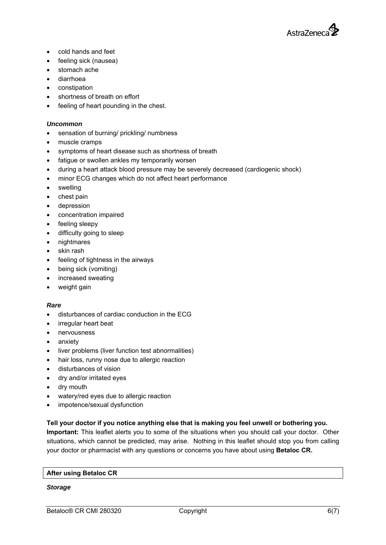

- cold hands and feet
- feeling sick (nausea)
- stomach ache
- diarrhoea
- constipation
- shortness of breath on effort
- feeling of heart pounding in the chest.

# *Uncommon*

- sensation of burning/ prickling/ numbness
- muscle cramps
- symptoms of heart disease such as shortness of breath
- fatigue or swollen ankles my temporarily worsen
- during a heart attack blood pressure may be severely decreased (cardiogenic shock)
- minor ECG changes which do not affect heart performance
- swelling
- chest pain
- depression
- concentration impaired
- feeling sleepy
- difficulty going to sleep
- nightmares
- skin rash
- feeling of tightness in the airways
- being sick (vomiting)
- increased sweating
- weight gain

## *Rare*

- disturbances of cardiac conduction in the ECG
- irregular heart beat
- nervousness
- anxiety
- liver problems (liver function test abnormalities)
- hair loss, runny nose due to allergic reaction
- disturbances of vision
- dry and/or irritated eyes
- dry mouth
- watery/red eyes due to allergic reaction
- impotence/sexual dysfunction

# **Tell your doctor if you notice anything else that is making you feel unwell or bothering you.**

**Important:** This leaflet alerts you to some of the situations when you should call your doctor. Other situations, which cannot be predicted, may arise. Nothing in this leaflet should stop you from calling your doctor or pharmacist with any questions or concerns you have about using **Betaloc CR.** 

## **After using Betaloc CR**

## *Storage*